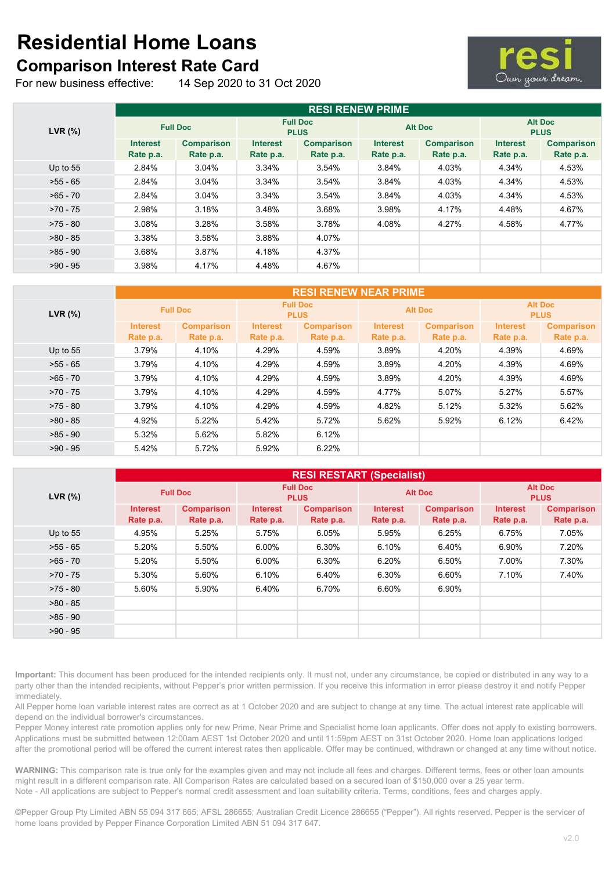## Residential Home Loans Comparison Interest Rate Card

For new business effective: 14 Sep 2020 to 31 Oct 2020



| LVR (%)    | <b>RESI RENEW PRIME</b>      |                                |                                |                                |                              |                                |                               |                                |  |
|------------|------------------------------|--------------------------------|--------------------------------|--------------------------------|------------------------------|--------------------------------|-------------------------------|--------------------------------|--|
|            | <b>Full Doc</b>              |                                | <b>Full Doc</b><br><b>PLUS</b> |                                | <b>Alt Doc</b>               |                                | <b>Alt Doc</b><br><b>PLUS</b> |                                |  |
|            | <b>Interest</b><br>Rate p.a. | <b>Comparison</b><br>Rate p.a. | <b>Interest</b><br>Rate p.a.   | <b>Comparison</b><br>Rate p.a. | <b>Interest</b><br>Rate p.a. | <b>Comparison</b><br>Rate p.a. | <b>Interest</b><br>Rate p.a.  | <b>Comparison</b><br>Rate p.a. |  |
| Up to $55$ | 2.84%                        | $3.04\%$                       | 3.34%                          | 3.54%                          | 3.84%                        | 4.03%                          | 4.34%                         | 4.53%                          |  |
| $>55 - 65$ | 2.84%                        | 3.04%                          | 3.34%                          | 3.54%                          | 3.84%                        | 4.03%                          | 4.34%                         | 4.53%                          |  |
| $>65 - 70$ | 2.84%                        | 3.04%                          | 3.34%                          | 3.54%                          | 3.84%                        | 4.03%                          | 4.34%                         | 4.53%                          |  |
| $>70 - 75$ | 2.98%                        | 3.18%                          | 3.48%                          | 3.68%                          | 3.98%                        | 4.17%                          | 4.48%                         | 4.67%                          |  |
| $>75 - 80$ | 3.08%                        | 3.28%                          | 3.58%                          | 3.78%                          | 4.08%                        | 4.27%                          | 4.58%                         | 4.77%                          |  |
| $>80 - 85$ | 3.38%                        | 3.58%                          | 3.88%                          | 4.07%                          |                              |                                |                               |                                |  |
| $>85 - 90$ | 3.68%                        | 3.87%                          | 4.18%                          | 4.37%                          |                              |                                |                               |                                |  |
| $>90 - 95$ | 3.98%                        | 4.17%                          | 4.48%                          | 4.67%                          |                              |                                |                               |                                |  |

| LVR (%)    | <b>RESI RENEW NEAR PRIME</b> |                   |                                |                   |                 |                   |                               |                   |  |
|------------|------------------------------|-------------------|--------------------------------|-------------------|-----------------|-------------------|-------------------------------|-------------------|--|
|            | <b>Full Doc</b>              |                   | <b>Full Doc</b><br><b>PLUS</b> |                   | <b>Alt Doc</b>  |                   | <b>Alt Doc</b><br><b>PLUS</b> |                   |  |
|            | <b>Interest</b>              | <b>Comparison</b> | <b>Interest</b>                | <b>Comparison</b> | <b>Interest</b> | <b>Comparison</b> | <b>Interest</b>               | <b>Comparison</b> |  |
|            | Rate p.a.                    | Rate p.a.         | Rate p.a.                      | Rate p.a.         | Rate p.a.       | Rate p.a.         | Rate p.a.                     | Rate p.a.         |  |
| Up to $55$ | 3.79%                        | 4.10%             | 4.29%                          | 4.59%             | 3.89%           | 4.20%             | 4.39%                         | 4.69%             |  |
| $>55 - 65$ | 3.79%                        | 4.10%             | 4.29%                          | 4.59%             | 3.89%           | 4.20%             | 4.39%                         | 4.69%             |  |
| $>65 - 70$ | 3.79%                        | 4.10%             | 4.29%                          | 4.59%             | 3.89%           | 4.20%             | 4.39%                         | 4.69%             |  |
| $>70 - 75$ | 3.79%                        | 4.10%             | 4.29%                          | 4.59%             | 4.77%           | 5.07%             | 5.27%                         | 5.57%             |  |
| $>75 - 80$ | 3.79%                        | 4.10%             | 4.29%                          | 4.59%             | 4.82%           | 5.12%             | 5.32%                         | 5.62%             |  |
| $>80 - 85$ | 4.92%                        | 5.22%             | 5.42%                          | 5.72%             | 5.62%           | 5.92%             | 6.12%                         | 6.42%             |  |
| $>85 - 90$ | 5.32%                        | 5.62%             | 5.82%                          | 6.12%             |                 |                   |                               |                   |  |
| $>90 - 95$ | 5.42%                        | 5.72%             | 5.92%                          | 6.22%             |                 |                   |                               |                   |  |

| LVR (%)    | <b>RESI RESTART (Specialist)</b> |                                |                                |                                |                              |                                |                               |                                |  |
|------------|----------------------------------|--------------------------------|--------------------------------|--------------------------------|------------------------------|--------------------------------|-------------------------------|--------------------------------|--|
|            | <b>Full Doc</b>                  |                                | <b>Full Doc</b><br><b>PLUS</b> |                                | <b>Alt Doc</b>               |                                | <b>Alt Doc</b><br><b>PLUS</b> |                                |  |
|            | <b>Interest</b><br>Rate p.a.     | <b>Comparison</b><br>Rate p.a. | <b>Interest</b><br>Rate p.a.   | <b>Comparison</b><br>Rate p.a. | <b>Interest</b><br>Rate p.a. | <b>Comparison</b><br>Rate p.a. | <b>Interest</b><br>Rate p.a.  | <b>Comparison</b><br>Rate p.a. |  |
| Up to $55$ | 4.95%                            | 5.25%                          | 5.75%                          | 6.05%                          | 5.95%                        | 6.25%                          | 6.75%                         | 7.05%                          |  |
| $>55 - 65$ | 5.20%                            | 5.50%                          | 6.00%                          | 6.30%                          | 6.10%                        | 6.40%                          | 6.90%                         | 7.20%                          |  |
| $>65 - 70$ | 5.20%                            | 5.50%                          | 6.00%                          | 6.30%                          | 6.20%                        | 6.50%                          | 7.00%                         | 7.30%                          |  |
| $>70 - 75$ | 5.30%                            | 5.60%                          | 6.10%                          | 6.40%                          | 6.30%                        | 6.60%                          | 7.10%                         | 7.40%                          |  |
| $>75 - 80$ | 5.60%                            | 5.90%                          | 6.40%                          | 6.70%                          | 6.60%                        | 6.90%                          |                               |                                |  |
| $>80 - 85$ |                                  |                                |                                |                                |                              |                                |                               |                                |  |
| $>85 - 90$ |                                  |                                |                                |                                |                              |                                |                               |                                |  |
| $>90 - 95$ |                                  |                                |                                |                                |                              |                                |                               |                                |  |

Important: This document has been produced for the intended recipients only. It must not, under any circumstance, be copied or distributed in any way to a party other than the intended recipients, without Pepper's prior written permission. If you receive this information in error please destroy it and notify Pepper immediately.

All Pepper home loan variable interest rates are correct as at 1 October 2020 and are subject to change at any time. The actual interest rate applicable will depend on the individual borrower's circumstances.

Pepper Money interest rate promotion applies only for new Prime, Near Prime and Specialist home loan applicants. Offer does not apply to existing borrowers. Applications must be submitted between 12:00am AEST 1st October 2020 and until 11:59pm AEST on 31st October 2020. Home loan applications lodged after the promotional period will be offered the current interest rates then applicable. Offer may be continued, withdrawn or changed at any time without notice.

WARNING: This comparison rate is true only for the examples given and may not include all fees and charges. Different terms, fees or other loan amounts might result in a different comparison rate. All Comparison Rates are calculated based on a secured loan of \$150,000 over a 25 year term. Note - All applications are subject to Pepper's normal credit assessment and loan suitability criteria. Terms, conditions, fees and charges apply.

©Pepper Group Pty Limited ABN 55 094 317 665; AFSL 286655; Australian Credit Licence 286655 ("Pepper"). All rights reserved. Pepper is the servicer of home loans provided by Pepper Finance Corporation Limited ABN 51 094 317 647.